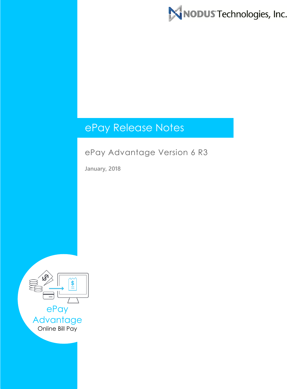

# ePay Release Notes

# ePay Advantage Version 6 R3

**January, 2018**

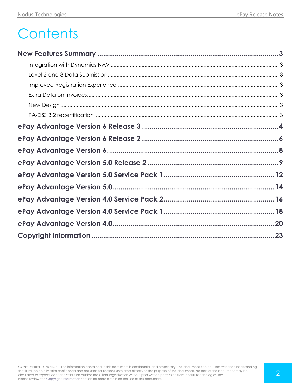# **Contents**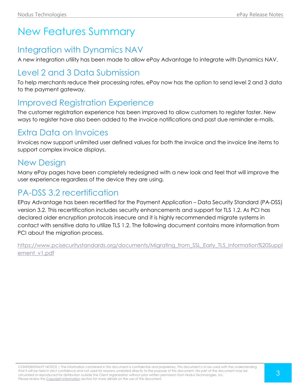# <span id="page-2-0"></span>New Features Summary

# <span id="page-2-1"></span>Integration with Dynamics NAV

A new integration utility has been made to allow ePay Advantage to integrate with Dynamics NAV.

# <span id="page-2-2"></span>Level 2 and 3 Data Submission

To help merchants reduce their processing rates, ePay now has the option to send level 2 and 3 data to the payment gateway.

# <span id="page-2-3"></span>Improved Registration Experience

The customer registration experience has been improved to allow customers to register faster. New ways to register have also been added to the invoice notifications and past due reminder e-mails.

# <span id="page-2-4"></span>Extra Data on Invoices

Invoices now support unlimited user defined values for both the invoice and the invoice line items to support complex invoice displays.

# <span id="page-2-5"></span>New Design

Many ePay pages have been completely redesigned with a new look and feel that will improve the user experience regardless of the device they are using.

# <span id="page-2-6"></span>PA-DSS 3.2 recertification

EPay Advantage has been recertified for the Payment Application – Data Security Standard (PA-DSS) version 3.2. This recertification includes security enhancements and support for TLS 1.2. As PCI has declared older encryption protocols insecure and it is highly recommended migrate systems in contact with sensitive data to utilize TLS 1.2. The following document contains more information from PCI about the migration process.

[https://www.pcisecuritystandards.org/documents/Migrating\\_from\\_SSL\\_Early\\_TLS\\_Information%20Suppl](https://www.pcisecuritystandards.org/documents/Migrating_from_SSL_Early_TLS_Information%20Supplement_v1.pdf) ement v1.pdf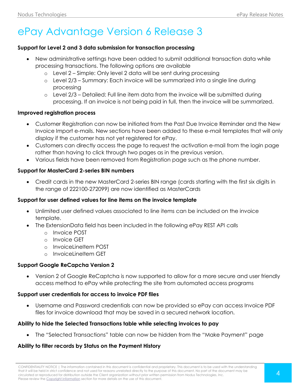# <span id="page-3-0"></span>ePay Advantage Version 6 Release 3

#### **Support for Level 2 and 3 data submission for transaction processing**

- New administrative settings have been added to submit additional transaction data while processing transactions. The following options are available
	- o Level 2 Simple: Only level 2 data will be sent during processing
	- o Level 2/3 Summary: Each invoice will be summarized into a single line during processing
	- $\circ$  Level 2/3 Detailed: Full line item data from the invoice will be submitted during processing. If an invoice is not being paid in full, then the invoice will be summarized.

#### **Improved registration process**

- Customer Registration can now be initiated from the Past Due Invoice Reminder and the New Invoice Import e-mails. New sections have been added to these e-mail templates that will only display if the customer has not yet registered for ePay.
- Customers can directly access the page to request the activation e-mail from the login page rather than having to click through two pages as in the previous version.
- Various fields have been removed from Registration page such as the phone number.

# **Support for MasterCard 2-series BIN numbers**

 Credit cards in the new MasterCard 2-series BIN range (cards starting with the first six digits in the range of 222100-272099) are now identified as MasterCards

# **Support for user defined values for line items on the invoice template**

- Unlimited user defined values associated to line items can be included on the invoice template.
- The ExtensionData field has been included in the following ePay REST API calls
	- o Invoice POST
	- o Invoice GET
	- $\circ$  Invoicel ineltem POST
	- o InvoiceLineItem GET

# **Support Google ReCapcha Version 2**

 Version 2 of Google ReCaptcha is now supported to allow for a more secure and user friendly access method to ePay while protecting the site from automated access programs

# **Support user credentials for access to invoice PDF files**

 Username and Password credentials can now be provided so ePay can access Invoice PDF files for invoice download that may be saved in a secured network location.

# **Ability to hide the Selected Transactions table while selecting invoices to pay**

The "Selected Transactions" table can now be hidden from the "Make Payment" page

# **Ability to filter records by Status on the Payment History**

CONFIDENTIALITY NOTICE | The information contained in this document is confidential and proprietary. This document is to be used with the understanding that it will be held in strict confidence and not used for reasons unrelated directly to the purpose of this document. No part of the document may be circulated or reproduced for distribution outside the Client organization without prior written permission from Nodus Technologies, Inc. Please review the Copyright Information section for more details on the use of this document.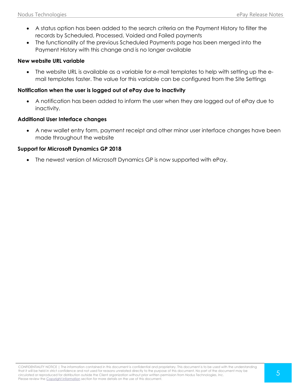- A status option has been added to the search criteria on the Payment History to filter the records by Scheduled, Processed, Voided and Failed payments
- The functionality of the previous Scheduled Payments page has been merged into the Payment History with this change and is no longer available

#### **New website URL variable**

 The website URL is available as a variable for e-mail templates to help with setting up the email templates faster. The value for this variable can be configured from the Site Settings

#### **Notification when the user is logged out of ePay due to inactivity**

 A notification has been added to inform the user when they are logged out of ePay due to inactivity.

#### **Additional User Interface changes**

 A new wallet entry form, payment receipt and other minor user interface changes have been made throughout the website

#### **Support for Microsoft Dynamics GP 2018**

The newest version of Microsoft Dynamics GP is now supported with ePay.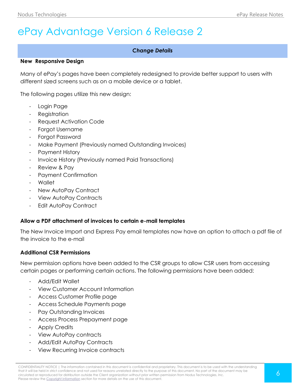# <span id="page-5-0"></span>ePay Advantage Version 6 Release 2

# *Change Details*

#### **New Responsive Design**

Many of ePay's pages have been completely redesigned to provide better support to users with different sized screens such as on a mobile device or a tablet.

The following pages utilize this new design:

- Login Page
- Registration
- Request Activation Code
- Forgot Username
- Forgot Password
- Make Payment (Previously named Outstanding Invoices)
- Payment History
- Invoice History (Previously named Paid Transactions)
- Review & Pay
- Payment Confirmation
- Wallet
- New AutoPay Contract
- View AutoPay Contracts
- Edit AutoPay Contract

#### **Allow a PDF attachment of invoices to certain e-mail templates**

The New Invoice Import and Express Pay email templates now have an option to attach a pdf file of the invoice to the e-mail

#### **Additional CSR Permissions**

New permission options have been added to the CSR groups to allow CSR users from accessing certain pages or performing certain actions. The following permissions have been added:

- Add/Edit Wallet
- View Customer Account Information
- Access Customer Profile page
- Access Schedule Payments page
- Pay Outstanding Invoices
- Access Process Prepayment page
- Apply Credits
- View AutoPay contracts
- Add/Edit AutoPay Contracts
- View Recurring Invoice contracts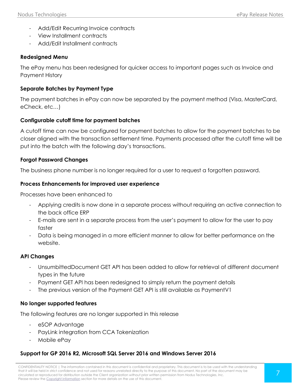- Add/Edit Recurring Invoice contracts
- View Installment contracts
- Add/Edit Installment contracts

#### **Redesigned Menu**

The ePay menu has been redesigned for quicker access to important pages such as Invoice and Payment History

# **Separate Batches by Payment Type**

The payment batches in ePay can now be separated by the payment method (Visa, MasterCard, eCheck, etc…)

# **Configurable cutoff time for payment batches**

A cutoff time can now be configured for payment batches to allow for the payment batches to be closer aligned with the transaction settlement time. Payments processed after the cutoff time will be put into the batch with the following day's transactions.

# **Forgot Password Changes**

The business phone number is no longer required for a user to request a forgotten password.

#### **Process Enhancements for improved user experience**

Processes have been enhanced to

- Applying credits is now done in a separate process without requiring an active connection to the back office ERP
- E-mails are sent in a separate process from the user's payment to allow for the user to pay faster
- Data is being managed in a more efficient manner to allow for better performance on the website.

# **API Changes**

- UnsumbittedDocument GET API has been added to allow for retrieval of different document types in the future
- Payment GET API has been redesigned to simply return the payment details
- The previous version of the Payment GET API is still available as PaymentV1

# **No longer supported features**

The following features are no longer supported in this release

- eSOP Advantage
- PayLink integration from CCA Tokenization
- Mobile ePay

# **Support for GP 2016 R2, Microsoft SQL Server 2016 and Windows Server 2016**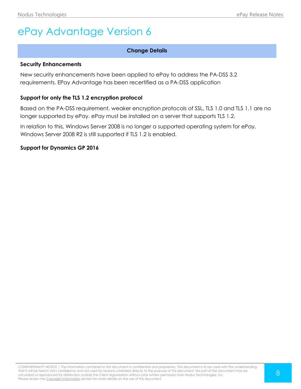# <span id="page-7-0"></span>ePay Advantage Version 6

# **Change Details**

#### **Security Enhancements**

New security enhancements have been applied to ePay to address the PA-DSS 3.2 requirements. EPay Advantage has been recertified as a PA-DSS application

# **Support for only the TLS 1.2 encryption protocol**

Based on the PA-DSS requirement, weaker encryption protocols of SSL, TLS 1.0 and TLS 1.1 are no longer supported by ePay. ePay must be installed on a server that supports TLS 1.2.

In relation to this, Windows Server 2008 is no longer a supported operating system for ePay. Windows Server 2008 R2 is still supported if TLS 1.2 is enabled.

**Support for Dynamics GP 2016**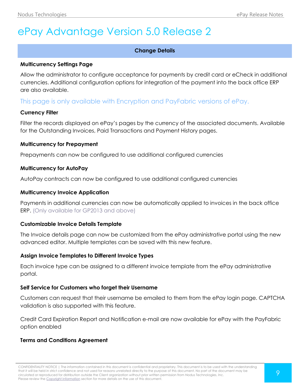# <span id="page-8-0"></span>ePay Advantage Version 5.0 Release 2

# **Change Details**

#### **Multicurrency Settings Page**

Allow the administrator to configure acceptance for payments by credit card or eCheck in additional currencies. Additional configuration options for integration of the payment into the back office ERP are also available.

# This page is only available with Encryption and PayFabric versions of ePay.

# **Currency Filter**

Filter the records displayed on ePay's pages by the currency of the associated documents. Available for the Outstanding Invoices, Paid Transactions and Payment History pages.

#### **Multicurrency for Prepayment**

Prepayments can now be configured to use additional configured currencies

#### **Multicurrency for AutoPay**

AutoPay contracts can now be configured to use additional configured currencies

#### **Multicurrency Invoice Application**

Payments in additional currencies can now be automatically applied to invoices in the back office ERP. (Only available for GP2013 and above)

# **Customizable Invoice Details Template**

The Invoice details page can now be customized from the ePay administrative portal using the new advanced editor. Multiple templates can be saved with this new feature.

# **Assign Invoice Templates to Different Invoice Types**

Each invoice type can be assigned to a different invoice template from the ePay administrative portal.

# **Self Service for Customers who forget their Username**

Customers can request that their username be emailed to them from the ePay login page. CAPTCHA validation is also supported with this feature.

Credit Card Expiration Report and Notification e-mail are now available for ePay with the PayFabric option enabled

# **Terms and Conditions Agreement**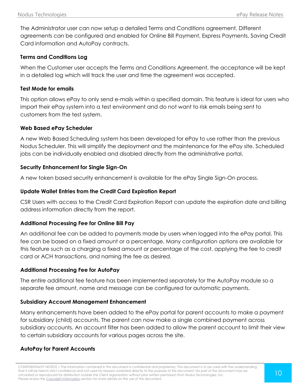The Administrator user can now setup a detailed Terms and Conditions agreement. Different agreements can be configured and enabled for Online Bill Payment, Express Payments, Saving Credit Card information and AutoPay contracts.

# **Terms and Conditions Log**

When the Customer user accepts the Terms and Conditions Agreement, the acceptance will be kept in a detailed log which will track the user and time the agreement was accepted.

# **Test Mode for emails**

This option allows ePay to only send e-mails within a specified domain. This feature is ideal for users who import their ePay system into a test environment and do not want to risk emails being sent to customers from the test system.

# **Web Based ePay Scheduler**

A new Web Based Scheduling system has been developed for ePay to use rather than the previous Nodus Scheduler. This will simplify the deployment and the maintenance for the ePay site. Scheduled jobs can be individually enabled and disabled directly from the administrative portal.

# **Security Enhancement for Single Sign-On**

A new token based security enhancement is available for the ePay Single Sign-On process.

# **Update Wallet Entries from the Credit Card Expiration Report**

CSR Users with access to the Credit Card Expiration Report can update the expiration date and billing address information directly from the report.

# **Additional Processing Fee for Online Bill Pay**

An additional fee can be added to payments made by users when logged into the ePay portal. This fee can be based on a fixed amount or a percentage. Many configuration options are available for this feature such as a charging a fixed amount or percentage of the cost, applying the fee to credit card or ACH transactions, and naming the fee as desired.

# **Additional Processing Fee for AutoPay**

The entire additional fee feature has been implemented separately for the AutoPay module so a separate fee amount, name and message can be configured for automatic payments.

# **Subsidiary Account Management Enhancement**

Many enhancements have been added to the ePay portal for parent accounts to make a payment for subsidiary (child) accounts. The parent can now make a single combined payment across subsidiary accounts. An account filter has been added to allow the parent account to limit their view to certain subsidiary accounts for various pages across the site.

# **AutoPay for Parent Accounts**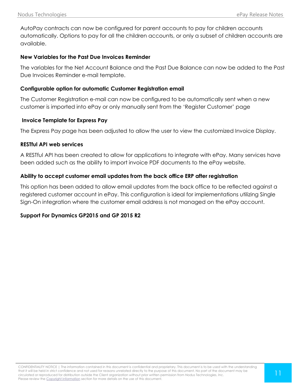AutoPay contracts can now be configured for parent accounts to pay for children accounts automatically. Options to pay for all the children accounts, or only a subset of children accounts are available.

# **New Variables for the Past Due Invoices Reminder**

The variables for the Net Account Balance and the Past Due Balance can now be added to the Past Due Invoices Reminder e-mail template.

# **Configurable option for automatic Customer Registration email**

The Customer Registration e-mail can now be configured to be automatically sent when a new customer is imported into ePay or only manually sent from the 'Register Customer' page

# **Invoice Template for Express Pay**

The Express Pay page has been adjusted to allow the user to view the customized Invoice Display.

# **RESTful API web services**

A RESTful API has been created to allow for applications to integrate with ePay. Many services have been added such as the ability to import invoice PDF documents to the ePay website.

# **Ability to accept customer email updates from the back office ERP after registration**

This option has been added to allow email updates from the back office to be reflected against a registered customer account in ePay. This configuration is ideal for implementations utilizing Single Sign-On integration where the customer email address is not managed on the ePay account.

# **Support For Dynamics GP2015 and GP 2015 R2**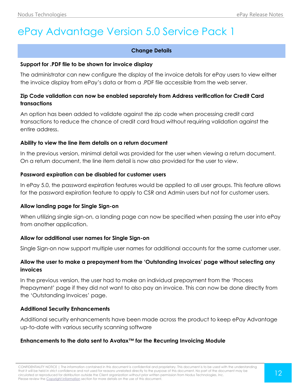# <span id="page-11-0"></span>ePay Advantage Version 5.0 Service Pack 1

# **Change Details**

#### **Support for .PDF file to be shown for invoice display**

The administrator can new configure the display of the invoice details for ePay users to view either the invoice display from ePay's data or from a .PDF file accessible from the web server.

# **Zip Code validation can now be enabled separately from Address verification for Credit Card transactions**

An option has been added to validate against the zip code when processing credit card transactions to reduce the chance of credit card fraud without requiring validation against the entire address.

# **Ability to view the line item details on a return document**

In the previous version, minimal detail was provided for the user when viewing a return document. On a return document, the line item detail is now also provided for the user to view.

#### **Password expiration can be disabled for customer users**

In ePay 5.0, the password expiration features would be applied to all user groups. This feature allows for the password expiration feature to apply to CSR and Admin users but not for customer users.

# **Allow landing page for Single Sign-on**

When utilizing single sign-on, a landing page can now be specified when passing the user into ePay from another application.

# **Allow for additional user names for Single Sign-on**

Single Sign-on now support multiple user names for additional accounts for the same customer user.

# **Allow the user to make a prepayment from the 'Outstanding Invoices' page without selecting any invoices**

In the previous version, the user had to make an individual prepayment from the 'Process Prepayment' page if they did not want to also pay an invoice. This can now be done directly from the 'Outstanding Invoices' page.

# **Additional Security Enhancements**

Additional security enhancements have been made across the product to keep ePay Advantage up-to-date with various security scanning software

# **Enhancements to the data sent to Avatax™ for the Recurring Invoicing Module**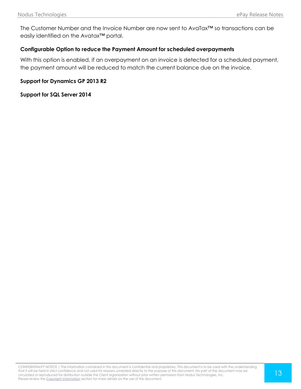The Customer Number and the Invoice Number are now sent to AvaTax™ so transactions can be easily identified on the Avatax™ portal.

# **Configurable Option to reduce the Payment Amount for scheduled overpayments**

With this option is enabled, if an overpayment on an invoice is detected for a scheduled payment, the payment amount will be reduced to match the current balance due on the invoice.

# **Support for Dynamics GP 2013 R2**

# **Support for SQL Server 2014**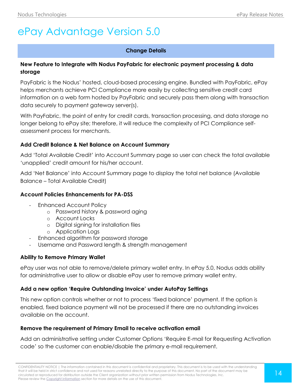# <span id="page-13-0"></span>ePay Advantage Version 5.0

# **Change Details**

# **New Feature to Integrate with Nodus PayFabric for electronic payment processing & data storage**

PayFabric is the Nodus' hosted, cloud-based processing engine. Bundled with PayFabric, ePay helps merchants achieve PCI Compliance more easily by collecting sensitive credit card information on a web form hosted by PayFabric and securely pass them along with transaction data securely to payment gateway server(s).

With PayFabric, the point of entry for credit cards, transaction processing, and data storage no longer belong to ePay site; therefore, it will reduce the complexity of PCI Compliance selfassessment process for merchants.

# **Add Credit Balance & Net Balance on Account Summary**

Add 'Total Available Credit' into Account Summary page so user can check the total available 'unapplied' credit amount for his/her account.

Add 'Net Balance' into Account Summary page to display the total net balance (Available Balance – Total Available Credit)

# **Account Policies Enhancements for PA-DSS**

- Enhanced Account Policy
	- o Password history & password aging
	- o Account Locks
	- o Digital signing for installation files
	- o Application Logs
- Enhanced algorithm for password storage
- Username and Password length & strength management

# **Ability to Remove Primary Wallet**

ePay user was not able to remove/delete primary wallet entry. In ePay 5.0, Nodus adds ability for administrative user to allow or disable ePay user to remove primary wallet entry.

# **Add a new option 'Require Outstanding Invoice' under AutoPay Settings**

This new option controls whether or not to process 'fixed balance' payment. If the option is enabled, fixed balance payment will not be processed if there are no outstanding invoices available on the account.

# **Remove the requirement of Primary Email to receive activation email**

Add an administrative setting under Customer Options 'Require E-mail for Requesting Activation code' so the customer can enable/disable the primary e-mail requirement.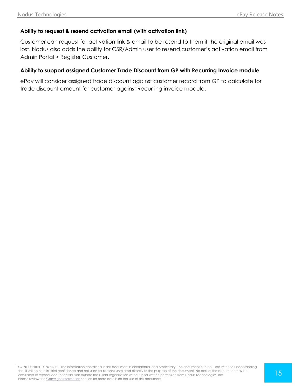# **Ability to request & resend activation email (with activation link)**

Customer can request for activation link & email to be resend to them if the original email was lost. Nodus also adds the ability for CSR/Admin user to resend customer's activation email from Admin Portal > Register Customer.

#### **Ability to support assigned Customer Trade Discount from GP with Recurring Invoice module**

ePay will consider assigned trade discount against customer record from GP to calculate for trade discount amount for customer against Recurring invoice module.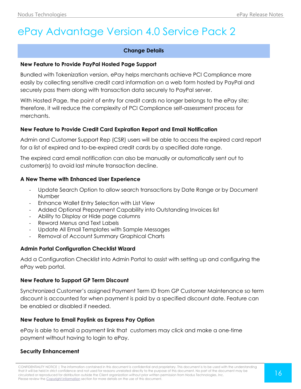# <span id="page-15-0"></span>ePay Advantage Version 4.0 Service Pack 2

# **Change Details**

# **New Feature to Provide PayPal Hosted Page Support**

Bundled with Tokenization version, ePay helps merchants achieve PCI Compliance more easily by collecting sensitive credit card information on a web form hosted by PayPal and securely pass them along with transaction data securely to PayPal server.

With Hosted Page, the point of entry for credit cards no longer belongs to the ePay site; therefore, it will reduce the complexity of PCI Compliance self-assessment process for merchants.

# **New Feature to Provide Credit Card Expiration Report and Email Notification**

Admin and Customer Support Rep (CSR) users will be able to access the expired card report for a list of expired and to-be-expired credit cards by a specified date range.

The expired card email notification can also be manually or automatically sent out to customer(s) to avoid last minute transaction decline.

# **A New Theme with Enhanced User Experience**

- Update Search Option to allow search transactions by Date Range or by Document Number
- Enhance Wallet Entry Selection with List View
- Added Optional Prepayment Capability into Outstanding Invoices list
- Ability to Display or Hide page columns
- Reword Menus and Text Labels
- Update All Email Templates with Sample Messages
- Removal of Account Summary Graphical Charts

# **Admin Portal Configuration Checklist Wizard**

Add a Configuration Checklist into Admin Portal to assist with setting up and configuring the ePay web portal.

# **New Feature to Support GP Term Discount**

Synchronized Customer's assigned Payment Term ID from GP Customer Maintenance so term discount is accounted for when payment is paid by a specified discount date. Feature can be enabled or disabled if needed.

# **New Feature to Email Paylink as Express Pay Option**

ePay is able to email a payment link that customers may click and make a one-time payment without having to login to ePay.

# **Security Enhancement**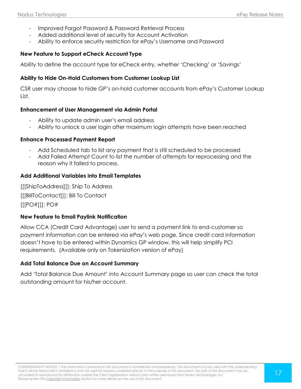- Improved Forgot Password & Password Retrieval Process
- Added additional level of security for Account Activation
- Ability to enforce security restriction for ePay's Username and Password

# **New Feature to Support eCheck Account Type**

Ability to define the account type for eCheck entry, whether 'Checking' or 'Savings'

# **Ability to Hide On-Hold Customers from Customer Lookup List**

CSR user may choose to hide GP's on-hold customer accounts from ePay's Customer Lookup List.

# **Enhancement of User Management via Admin Portal**

- Ability to update admin user's email address
- Ability to unlock a user login after maximum login attempts have been reached

# **Enhance Processed Payment Report**

- Add Scheduled tab to list any payment that is still scheduled to be processed
- Add Failed Attempt Count to list the number of attempts for reprocessing and the reason why it failed to process.

#### **Add Additional Variables into Email Templates**

[[[ShipToAddress]]]: Ship To Address [[[BillToContact]]]: Bill To Contact [[[PO#]]]: PO#

# **New Feature to Email Paylink Notification**

Allow CCA (Credit Card Advantage) user to send a payment link to end-customer so payment information can be entered via ePay's web page. Since credit card information doesn't have to be entered within Dynamics GP window, this will help simplify PCI requirements. (Available only on Tokenization version of ePay)

# **Add Total Balance Due on Account Summary**

Add 'Total Balance Due Amount' into Account Summary page so user can check the total outstanding amount for his/her account.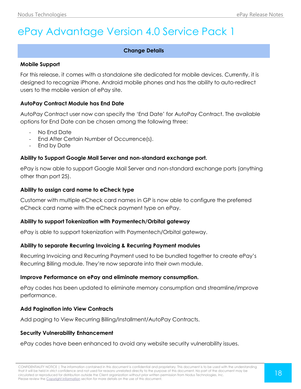# <span id="page-17-0"></span>ePay Advantage Version 4.0 Service Pack 1

# **Change Details**

#### **Mobile Support**

For this release, it comes with a standalone site dedicated for mobile devices. Currently, it is designed to recognize iPhone, Android mobile phones and has the ability to auto-redirect users to the mobile version of ePay site.

#### **AutoPay Contract Module has End Date**

AutoPay Contract user now can specify the 'End Date' for AutoPay Contract. The available options for End Date can be chosen among the following three:

- No End Date
- End After Certain Number of Occurrence(s).
- End by Date

# **Ability to Support Google Mail Server and non-standard exchange port.**

ePay is now able to support Google Mail Server and non-standard exchange ports (anything other than port 25).

#### **Ability to assign card name to eCheck type**

Customer with multiple eCheck card names in GP is now able to configure the preferred eCheck card name with the eCheck payment type on ePay.

# **Ability to support Tokenization with Paymentech/Orbital gateway**

ePay is able to support tokenization with Paymentech/Orbital gateway.

# **Ability to separate Recurring Invoicing & Recurring Payment modules**

Recurring Invoicing and Recurring Payment used to be bundled together to create ePay's Recurring Billing module. They're now separate into their own module.

#### **Improve Performance on ePay and eliminate memory consumption.**

ePay codes has been updated to eliminate memory consumption and streamline/improve performance.

# **Add Pagination into View Contracts**

Add paging to View Recurring Billing/Installment/AutoPay Contracts.

#### **Security Vulnerability Enhancement**

ePay codes have been enhanced to avoid any website security vulnerability issues.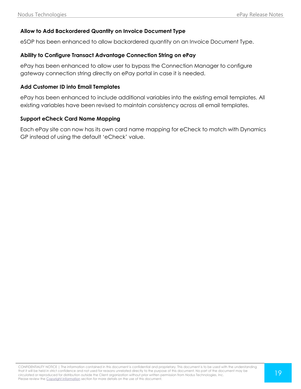# **Allow to Add Backordered Quantity on Invoice Document Type**

eSOP has been enhanced to allow backordered quantity on an Invoice Document Type.

#### **Ability to Configure Transact Advantage Connection String on ePay**

ePay has been enhanced to allow user to bypass the Connection Manager to configure gateway connection string directly on ePay portal in case it is needed.

#### **Add Customer ID into Email Templates**

ePay has been enhanced to include additional variables into the existing email templates. All existing variables have been revised to maintain consistency across all email templates.

# **Support eCheck Card Name Mapping**

Each ePay site can now has its own card name mapping for eCheck to match with Dynamics GP instead of using the default 'eCheck' value.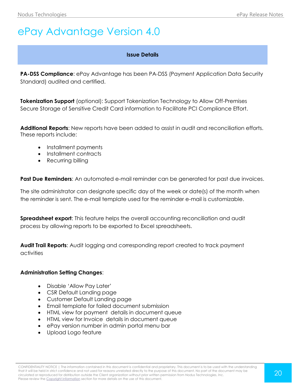# <span id="page-19-0"></span>ePay Advantage Version 4.0

#### **Issue Details**

**PA-DSS Compliance**: ePay Advantage has been PA-DSS (Payment Application Data Security Standard) audited and certified.

**Tokenization Support** (optional): Support Tokenization Technology to Allow Off-Premises Secure Storage of Sensitive Credit Card information to Facilitate PCI Compliance Effort.

**Additional Reports**: New reports have been added to assist in audit and reconciliation efforts. These reports include:

- Installment payments
- Installment contracts
- Recurring billing

**Past Due Reminders:** An automated e-mail reminder can be generated for past due invoices.

The site administrator can designate specific day of the week or date(s) of the month when the reminder is sent. The e-mail template used for the reminder e-mail is customizable.

**Spreadsheet export:** This feature helps the overall accounting reconciliation and audit process by allowing reports to be exported to Excel spreadsheets.

**Audit Trail Reports**: Audit logging and corresponding report created to track payment activities

#### **Administration Setting Changes**:

- Disable 'Allow Pay Later'
- CSR Default Landing page
- Customer Default Landing page
- Email template for failed document submission
- HTML view for payment details in document queue
- HTML view for Invoice details in document queue
- ePay version number in admin portal menu bar
- Upload Logo feature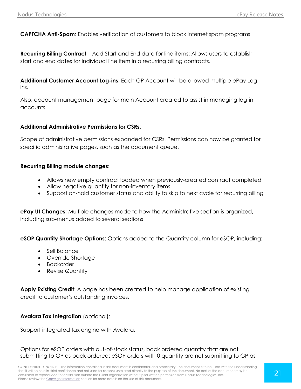**CAPTCHA Anti-Spam**: Enables verification of customers to block internet spam programs

**Recurring Billing Contract** – Add Start and End date for line items: Allows users to establish start and end dates for individual line item in a recurring billing contracts.

**Additional Customer Account Log-ins**: Each GP Account will be allowed multiple ePay Logins.

Also, account management page for main Account created to assist in managing log-in accounts.

# **Additional Administrative Permissions for CSRs**:

Scope of administrative permissions expanded for CSRs. Permissions can now be granted for specific administrative pages, such as the document queue.

#### **Recurring Billing module changes**:

- Allows new empty contract loaded when previously-created contract completed
- Allow negative quantity for non-inventory items
- Support on-hold customer status and ability to skip to next cycle for recurring billing

**ePay UI Changes**: Multiple changes made to how the Administrative section is organized, including sub-menus added to several sections

**eSOP Quantity Shortage Options**: Options added to the Quantity column for eSOP, including:

- Sell Balance
- Override Shortage
- Backorder
- Revise Quantity

**Apply Existing Credit**: A page has been created to help manage application of existing credit to customer's outstanding invoices.

# **Avalara Tax Integration** (optional):

Support integrated tax engine with Avalara.

Options for eSOP orders with out-of-stock status, back ordered quantity that are not submitting to GP as back ordered: eSOP orders with 0 quantity are not submitting to GP as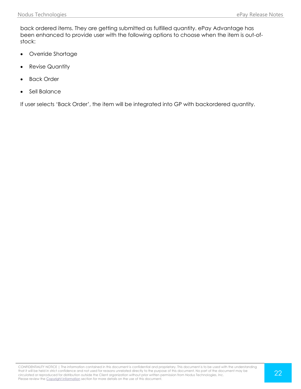back ordered items. They are getting submitted as fulfilled quantity. ePay Advantage has been enhanced to provide user with the following options to choose when the item is out-ofstock:

- Override Shortage
- Revise Quantity
- Back Order
- Sell Balance

If user selects 'Back Order', the item will be integrated into GP with backordered quantity.